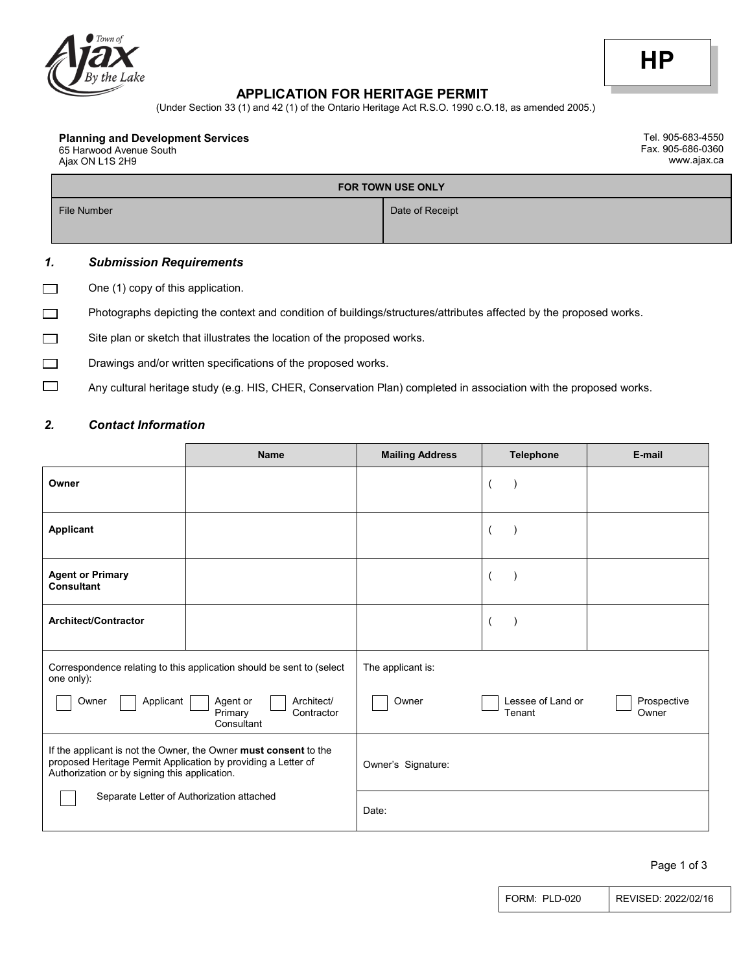

#### **APPLICATION FOR HERITAGE PERMIT**

(Under Section 33 (1) and 42 (1) of the Ontario Heritage Act R.S.O. 1990 c.O.18, as amended 2005.)

#### **Planning and Development Services**

65 Harwood Avenue South Ajax ON L1S 2H9

Tel. 905-683-4550 Fax. 905-686-0360 www.ajax.ca

# **FOR TOWN USE ONLY** File Number Date of Receipt

# *1. Submission Requirements*

 $\Box$ One (1) copy of this application.

Photographs depicting the context and condition of buildings/structures/attributes affected by the proposed works.  $\Box$ 

|  |  | Site plan or sketch that illustrates the location of the proposed works. |  |
|--|--|--------------------------------------------------------------------------|--|
|  |  |                                                                          |  |

- **Drawings and/or written specifications of the proposed works.**
- $\Box$ Any cultural heritage study (e.g. HIS, CHER, Conservation Plan) completed in association with the proposed works.

## *2. Contact Information*

|                                                                                                                | <b>Name</b>                                                           | <b>Mailing Address</b> | <b>Telephone</b>            | E-mail               |
|----------------------------------------------------------------------------------------------------------------|-----------------------------------------------------------------------|------------------------|-----------------------------|----------------------|
| Owner                                                                                                          |                                                                       |                        |                             |                      |
| <b>Applicant</b>                                                                                               |                                                                       |                        | 1                           |                      |
| <b>Agent or Primary</b><br><b>Consultant</b>                                                                   |                                                                       |                        | 1                           |                      |
| <b>Architect/Contractor</b>                                                                                    |                                                                       |                        | 1                           |                      |
| one only):                                                                                                     | Correspondence relating to this application should be sent to (select | The applicant is:      |                             |                      |
| Applicant<br>Owner                                                                                             | Architect/<br>Agent or<br>Primary<br>Contractor<br>Consultant         | Owner                  | Lessee of Land or<br>Tenant | Prospective<br>Owner |
| proposed Heritage Permit Application by providing a Letter of<br>Authorization or by signing this application. | If the applicant is not the Owner, the Owner must consent to the      | Owner's Signature:     |                             |                      |
|                                                                                                                | Separate Letter of Authorization attached                             | Date:                  |                             |                      |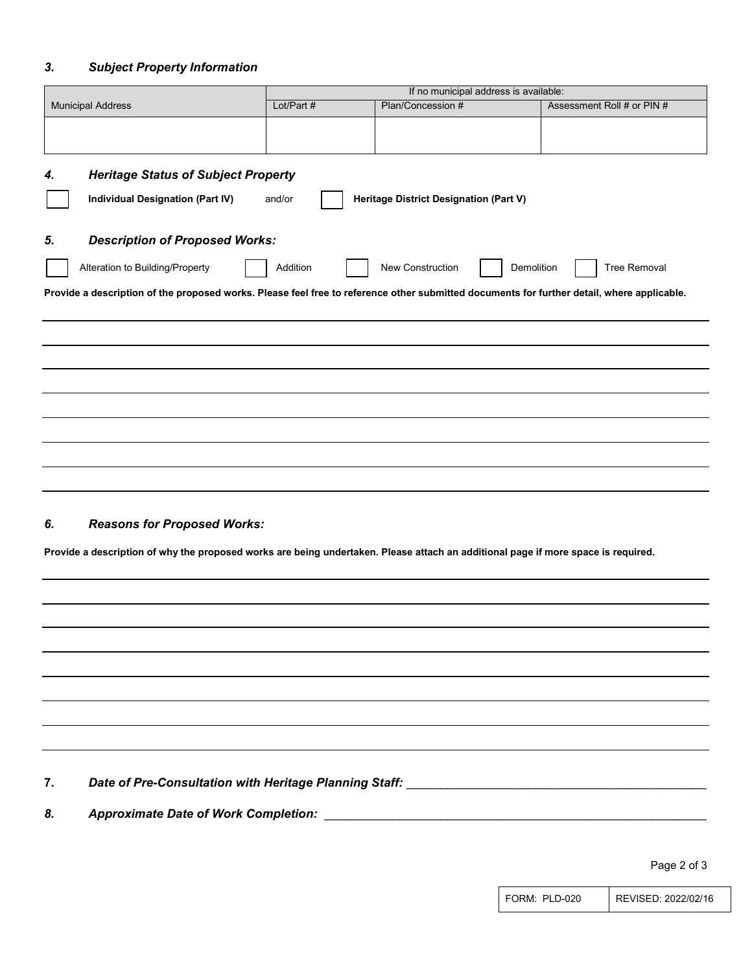### *3. Subject Property Information*

|                                                                                                                                            |            | If no municipal address is available:  |            |                            |
|--------------------------------------------------------------------------------------------------------------------------------------------|------------|----------------------------------------|------------|----------------------------|
| <b>Municipal Address</b>                                                                                                                   | Lot/Part # | Plan/Concession #                      |            | Assessment Roll # or PIN # |
|                                                                                                                                            |            |                                        |            |                            |
|                                                                                                                                            |            |                                        |            |                            |
| <b>Heritage Status of Subject Property</b><br>4.                                                                                           |            |                                        |            |                            |
| <b>Individual Designation (Part IV)</b>                                                                                                    | and/or     | Heritage District Designation (Part V) |            |                            |
|                                                                                                                                            |            |                                        |            |                            |
| <b>Description of Proposed Works:</b><br>5.                                                                                                |            |                                        |            |                            |
| Alteration to Building/Property                                                                                                            | Addition   | New Construction                       | Demolition | <b>Tree Removal</b>        |
| Provide a description of the proposed works. Please feel free to reference other submitted documents for further detail, where applicable. |            |                                        |            |                            |
|                                                                                                                                            |            |                                        |            |                            |
|                                                                                                                                            |            |                                        |            |                            |
|                                                                                                                                            |            |                                        |            |                            |
|                                                                                                                                            |            |                                        |            |                            |
|                                                                                                                                            |            |                                        |            |                            |
|                                                                                                                                            |            |                                        |            |                            |
|                                                                                                                                            |            |                                        |            |                            |
|                                                                                                                                            |            |                                        |            |                            |
|                                                                                                                                            |            |                                        |            |                            |
| <b>Reasons for Proposed Works:</b><br>6.                                                                                                   |            |                                        |            |                            |
| Provide a description of why the proposed works are being undertaken. Please attach an additional page if more space is required.          |            |                                        |            |                            |
|                                                                                                                                            |            |                                        |            |                            |
|                                                                                                                                            |            |                                        |            |                            |
|                                                                                                                                            |            |                                        |            |                            |
|                                                                                                                                            |            |                                        |            |                            |
|                                                                                                                                            |            |                                        |            |                            |
|                                                                                                                                            |            |                                        |            |                            |
|                                                                                                                                            |            |                                        |            |                            |
|                                                                                                                                            |            |                                        |            |                            |
|                                                                                                                                            |            |                                        |            |                            |
| 7.                                                                                                                                         |            |                                        |            |                            |
| 8.                                                                                                                                         |            |                                        |            |                            |
|                                                                                                                                            |            |                                        |            |                            |